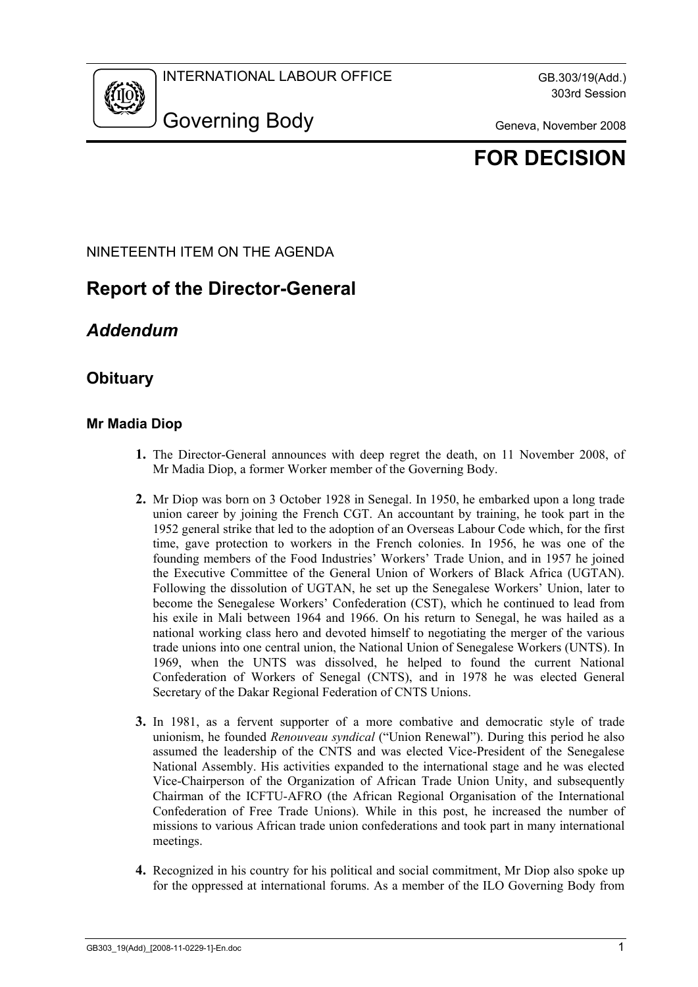

# **FOR DECISION**

#### NINETEENTH ITEM ON THE AGENDA

# **Report of the Director-General**

## *Addendum*

### **Obituary**

#### **Mr Madia Diop**

- **1.** The Director-General announces with deep regret the death, on 11 November 2008, of Mr Madia Diop, a former Worker member of the Governing Body.
- **2.** Mr Diop was born on 3 October 1928 in Senegal. In 1950, he embarked upon a long trade union career by joining the French CGT. An accountant by training, he took part in the 1952 general strike that led to the adoption of an Overseas Labour Code which, for the first time, gave protection to workers in the French colonies. In 1956, he was one of the founding members of the Food Industries' Workers' Trade Union, and in 1957 he joined the Executive Committee of the General Union of Workers of Black Africa (UGTAN). Following the dissolution of UGTAN, he set up the Senegalese Workers' Union, later to become the Senegalese Workers' Confederation (CST), which he continued to lead from his exile in Mali between 1964 and 1966. On his return to Senegal, he was hailed as a national working class hero and devoted himself to negotiating the merger of the various trade unions into one central union, the National Union of Senegalese Workers (UNTS). In 1969, when the UNTS was dissolved, he helped to found the current National Confederation of Workers of Senegal (CNTS), and in 1978 he was elected General Secretary of the Dakar Regional Federation of CNTS Unions.
- **3.** In 1981, as a fervent supporter of a more combative and democratic style of trade unionism, he founded *Renouveau syndical* ("Union Renewal"). During this period he also assumed the leadership of the CNTS and was elected Vice-President of the Senegalese National Assembly. His activities expanded to the international stage and he was elected Vice-Chairperson of the Organization of African Trade Union Unity, and subsequently Chairman of the ICFTU-AFRO (the African Regional Organisation of the International Confederation of Free Trade Unions). While in this post, he increased the number of missions to various African trade union confederations and took part in many international meetings.
- **4.** Recognized in his country for his political and social commitment, Mr Diop also spoke up for the oppressed at international forums. As a member of the ILO Governing Body from